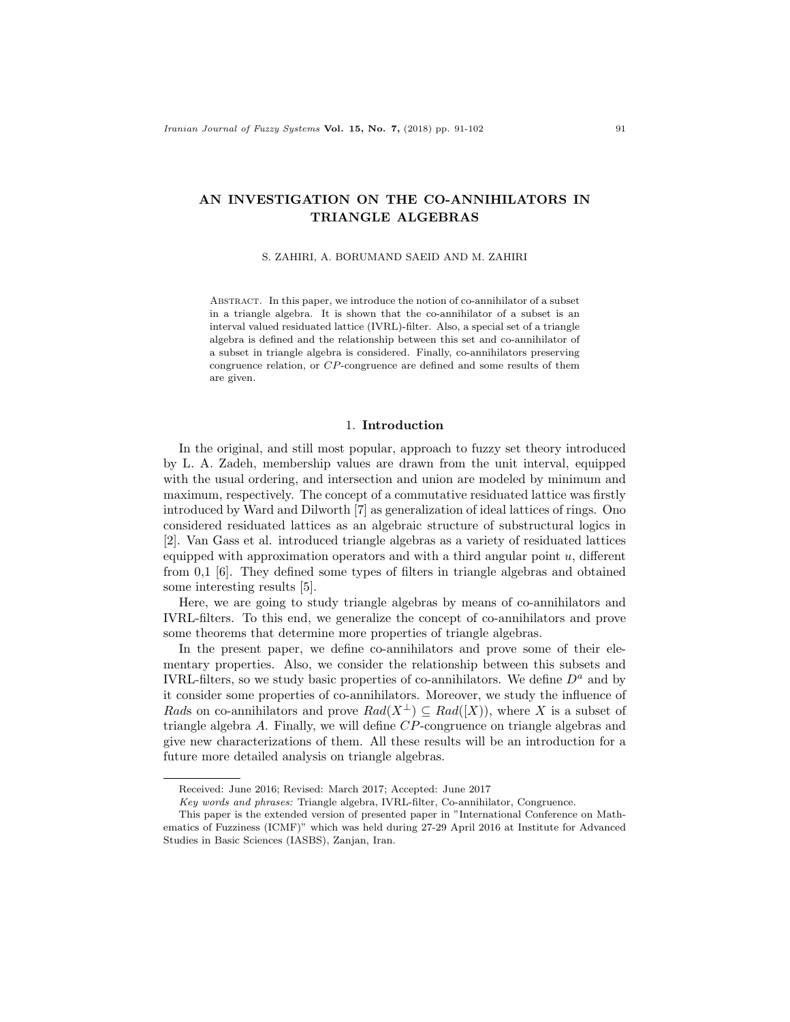# AN INVESTIGATION ON THE CO-ANNIHILATORS IN TRIANGLE ALGEBRAS

#### S. ZAHIRI, A. BORUMAND SAEID AND M. ZAHIRI

Abstract. In this paper, we introduce the notion of co-annihilator of a subset in a triangle algebra. It is shown that the co-annihilator of a subset is an interval valued residuated lattice (IVRL)-filter. Also, a special set of a triangle algebra is defined and the relationship between this set and co-annihilator of a subset in triangle algebra is considered. Finally, co-annihilators preserving congruence relation, or CP-congruence are defined and some results of them are given.

## 1. Introduction

In the original, and still most popular, approach to fuzzy set theory introduced by L. A. Zadeh, membership values are drawn from the unit interval, equipped with the usual ordering, and intersection and union are modeled by minimum and maximum, respectively. The concept of a commutative residuated lattice was firstly introduced by Ward and Dilworth [7] as generalization of ideal lattices of rings. Ono considered residuated lattices as an algebraic structure of substructural logics in [2]. Van Gass et al. introduced triangle algebras as a variety of residuated lattices equipped with approximation operators and with a third angular point  $u$ , different from 0,1 [6]. They defined some types of filters in triangle algebras and obtained some interesting results [5].

Here, we are going to study triangle algebras by means of co-annihilators and IVRL-filters. To this end, we generalize the concept of co-annihilators and prove some theorems that determine more properties of triangle algebras.

In the present paper, we define co-annihilators and prove some of their elementary properties. Also, we consider the relationship between this subsets and IVRL-filters, so we study basic properties of co-annihilators. We define  $D^a$  and by it consider some properties of co-annihilators. Moreover, we study the influence of Rads on co-annihilators and prove  $Rad(X^{\perp}) \subseteq Rad([X])$ , where X is a subset of triangle algebra A. Finally, we will define CP-congruence on triangle algebras and give new characterizations of them. All these results will be an introduction for a future more detailed analysis on triangle algebras.

Received: June 2016; Revised: March 2017; Accepted: June 2017

Key words and phrases: Triangle algebra, IVRL-filter, Co-annihilator, Congruence.

This paper is the extended version of presented paper in "International Conference on Mathematics of Fuzziness (ICMF)" which was held during 27-29 April 2016 at Institute for Advanced Studies in Basic Sciences (IASBS), Zanjan, Iran.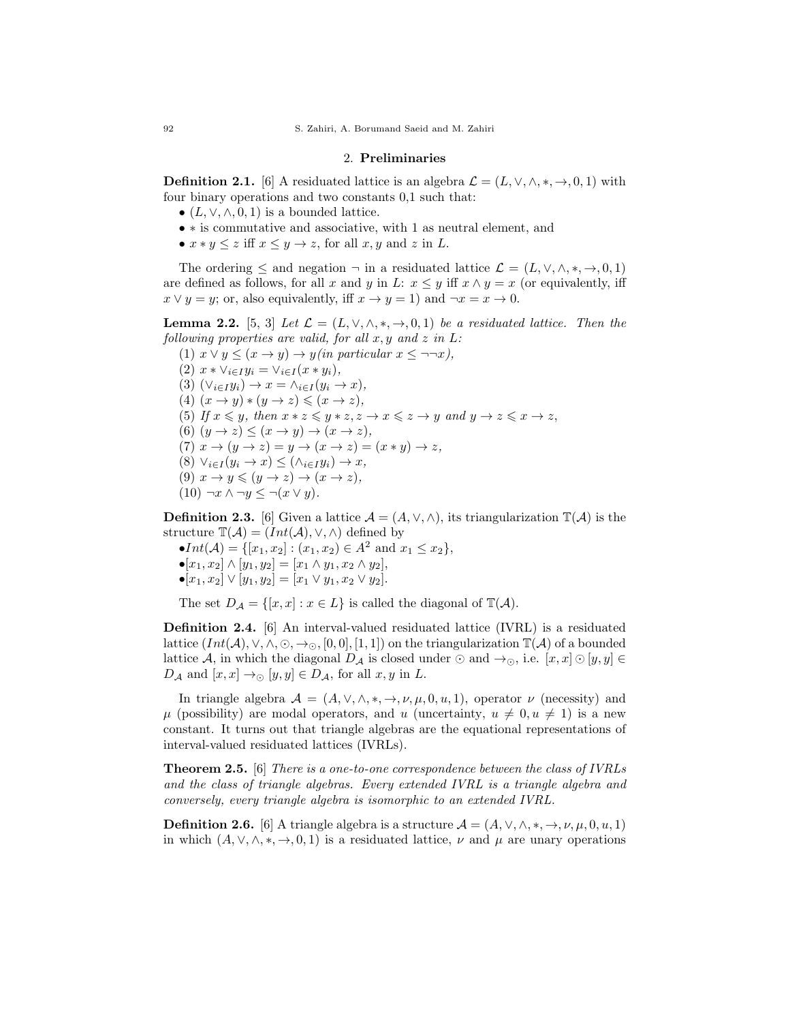#### 2. Preliminaries

**Definition 2.1.** [6] A residuated lattice is an algebra  $\mathcal{L} = (L, \vee, \wedge, *, \rightarrow, 0, 1)$  with four binary operations and two constants 0,1 such that:

- $(L, \vee, \wedge, 0, 1)$  is a bounded lattice.
- ∗ is commutative and associative, with 1 as neutral element, and
- $x * y \leq z$  iff  $x \leq y \to z$ , for all  $x, y$  and  $z$  in  $L$ .

The ordering  $\leq$  and negation  $\neg$  in a residuated lattice  $\mathcal{L} = (L, \vee, \wedge, *, \rightarrow, 0, 1)$ are defined as follows, for all x and y in L:  $x \leq y$  iff  $x \wedge y = x$  (or equivalently, iff  $x \vee y = y$ ; or, also equivalently, iff  $x \rightarrow y = 1$ ) and  $\neg x = x \rightarrow 0$ .

**Lemma 2.2.** [5, 3] Let  $\mathcal{L} = (L, \vee, \wedge, *, \rightarrow, 0, 1)$  be a residuated lattice. Then the following properties are valid, for all  $x, y$  and  $z$  in  $L$ :

(1)  $x \lor y \leq (x \to y) \to y$  (in particular  $x \leq \neg \neg x$ ), (2)  $x * \vee_{i \in I} y_i = \vee_{i \in I} (x * y_i),$ (3)  $(\forall_{i\in I} y_i) \rightarrow x = \land_{i\in I} (y_i \rightarrow x),$ (4)  $(x \rightarrow y) * (y \rightarrow z) \leq (x \rightarrow z),$ (5) If  $x \leq y$ , then  $x * z \leq y * z$ ,  $z \to x \leq z \to y$  and  $y \to z \leq x \to z$ , (6)  $(y \rightarrow z) \leq (x \rightarrow y) \rightarrow (x \rightarrow z)$ , (7)  $x \to (y \to z) = y \to (x \to z) = (x * y) \to z$ , (8)  $\vee_{i\in I} (y_i \to x) \leq (\wedge_{i\in I} y_i) \to x$ , (9)  $x \to y \leqslant (y \to z) \to (x \to z),$  $(10) \neg x \land \neg y \leq \neg (x \lor y).$ 

**Definition 2.3.** [6] Given a lattice  $\mathcal{A} = (A, \vee, \wedge)$ , its triangularization  $\mathbb{T}(\mathcal{A})$  is the structure  $\mathbb{T}(\mathcal{A}) = (Int(\mathcal{A}), \vee, \wedge)$  defined by

 $\bullet Int(\mathcal{A}) = \{ [x_1, x_2] : (x_1, x_2) \in \mathcal{A}^2 \text{ and } x_1 \leq x_2 \},\$  $\bullet$ [ $x_1, x_2$ ]  $\land$  [ $y_1, y_2$ ] = [ $x_1 \land y_1, x_2 \land y_2$ ],  $\bullet$ [ $x_1, x_2$ ]  $\lor$  [ $y_1, y_2$ ] = [ $x_1 \lor y_1, x_2 \lor y_2$ ].

The set  $D_A = \{ [x, x] : x \in L \}$  is called the diagonal of  $\mathbb{T}(A)$ .

Definition 2.4. [6] An interval-valued residuated lattice (IVRL) is a residuated lattice  $(Int(\mathcal{A}), \vee, \wedge, \odot, \rightarrow_{\odot}, [0,0], [1,1])$  on the triangularization  $\mathbb{T}(\mathcal{A})$  of a bounded lattice A, in which the diagonal  $D_A$  is closed under  $\odot$  and  $\rightarrow_{\odot}$ , i.e.  $[x, x] \odot [y, y] \in$  $D_A$  and  $[x, x] \rightarrow \odot [y, y] \in D_A$ , for all  $x, y$  in L.

In triangle algebra  $\mathcal{A} = (A, \vee, \wedge, *, \rightarrow, \nu, \mu, 0, u, 1)$ , operator  $\nu$  (necessity) and  $\mu$  (possibility) are modal operators, and u (uncertainty,  $u \neq 0, u \neq 1$ ) is a new constant. It turns out that triangle algebras are the equational representations of interval-valued residuated lattices (IVRLs).

Theorem 2.5. [6] There is a one-to-one correspondence between the class of IVRLs and the class of triangle algebras. Every extended IVRL is a triangle algebra and conversely, every triangle algebra is isomorphic to an extended IVRL.

**Definition 2.6.** [6] A triangle algebra is a structure  $\mathcal{A} = (A, \vee, \wedge, \ast, \rightarrow, \nu, \mu, 0, u, 1)$ in which  $(A, \vee, \wedge, *, \rightarrow, 0, 1)$  is a residuated lattice,  $\nu$  and  $\mu$  are unary operations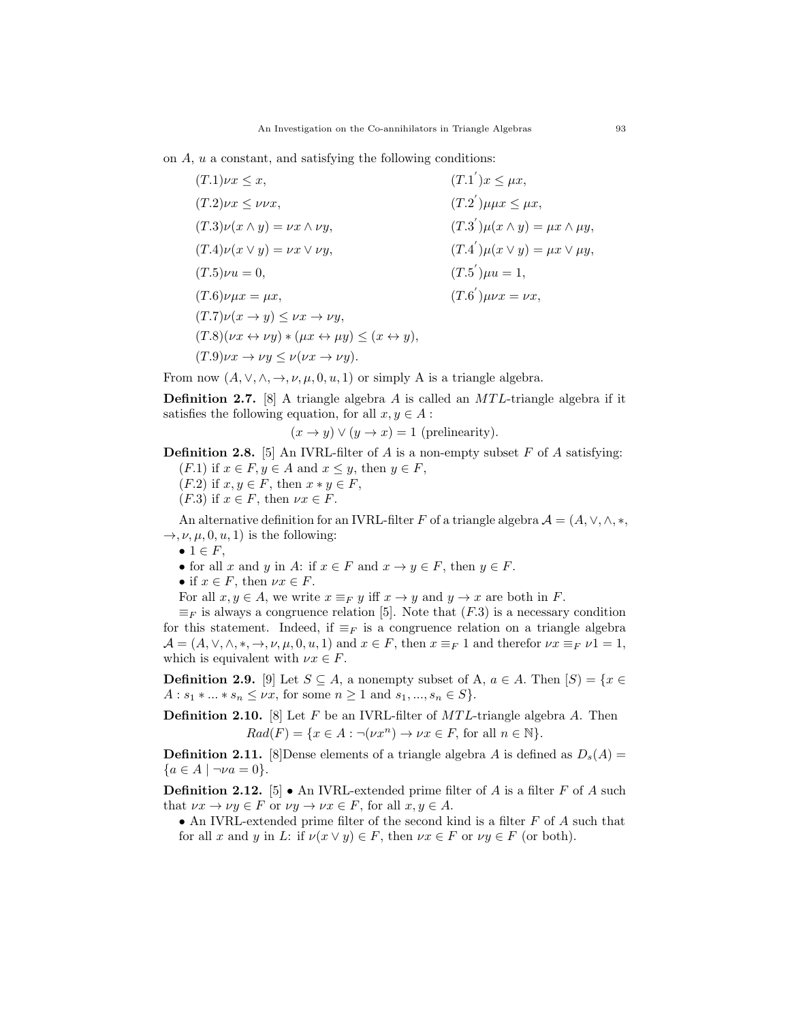on A, u a constant, and satisfying the following conditions:

| $(T.1)\nu x \leq x,$                                                                             | $(T.1^{'})x \leq \mu x,$                     |
|--------------------------------------------------------------------------------------------------|----------------------------------------------|
| $(T.2)\nu x \leq \nu \nu x,$                                                                     | $(T.2^{'})\mu\mu x \leq \mu x,$              |
| $(T.3)\nu(x\wedge y) = \nu x \wedge \nu y,$                                                      | $(T.3^{'})\mu(x\wedge y)=\mu x\wedge \mu y,$ |
| $(T.4)\nu(x\vee y) = \nu x \vee \nu y,$                                                          | $(T.4^{'})\mu(x \vee y) = \mu x \vee \mu y,$ |
| $(T.5)\nu u = 0,$                                                                                | $(T.5^{'})\mu u=1,$                          |
| $(T.6)\nu\mu x = \mu x,$                                                                         | $(T.6^{'})\mu\nu x = \nu x,$                 |
| $(T.7)\nu(x \rightarrow y) \leq \nu x \rightarrow \nu y,$                                        |                                              |
| $(T.8)(\nu x \leftrightarrow \nu y) * (\mu x \leftrightarrow \mu y) \leq (x \leftrightarrow y),$ |                                              |
| $(T.9)\nu x \rightarrow \nu y \leq \nu (\nu x \rightarrow \nu y).$                               |                                              |

From now  $(A, \vee, \wedge, \rightarrow, \nu, \mu, 0, u, 1)$  or simply A is a triangle algebra.

**Definition 2.7.** [8] A triangle algebra A is called an  $MTL$ -triangle algebra if it satisfies the following equation, for all  $x, y \in A$ :

$$
(x \to y) \lor (y \to x) = 1
$$
 (prelinearity).

**Definition 2.8.** [5] An IVRL-filter of A is a non-empty subset F of A satisfying:

- $(F.1)$  if  $x \in F, y \in A$  and  $x \leq y$ , then  $y \in F$ ,
- $(F.2)$  if  $x, y \in F$ , then  $x * y \in F$ ,
- $(F.3)$  if  $x \in F$ , then  $\nu x \in F$ .

An alternative definition for an IVRL-filter F of a triangle algebra  $\mathcal{A} = (A, \vee, \wedge, *,$  $\rightarrow$ ,  $\nu$ ,  $\mu$ , 0,  $u$ , 1) is the following:

 $\bullet$  1  $\in$  F,

- for all x and y in A: if  $x \in F$  and  $x \to y \in F$ , then  $y \in F$ .
- if  $x \in F$ , then  $\nu x \in F$ .

For all  $x, y \in A$ , we write  $x \equiv_F y$  iff  $x \to y$  and  $y \to x$  are both in F.

 $\equiv_F$  is always a congruence relation [5]. Note that  $(F.3)$  is a necessary condition for this statement. Indeed, if  $\equiv_F$  is a congruence relation on a triangle algebra  $\mathcal{A} = (A, \vee, \wedge, \ast, \to, \nu, \mu, 0, u, 1)$  and  $x \in F$ , then  $x \equiv_F 1$  and therefor  $\nu x \equiv_F \nu 1 = 1$ , which is equivalent with  $\nu x \in F$ .

**Definition 2.9.** [9] Let  $S \subseteq A$ , a nonempty subset of A,  $a \in A$ . Then  $[S] = \{x \in A\}$  $A: s_1 * ... * s_n \leq \nu x$ , for some  $n \geq 1$  and  $s_1, ..., s_n \in S$ .

**Definition 2.10.** [8] Let  $F$  be an IVRL-filter of  $MTL$ -triangle algebra  $A$ . Then  $Rad(F) = \{x \in A : \neg(\nu x^n) \to \nu x \in F, \text{ for all } n \in \mathbb{N}\}.$ 

**Definition 2.11.** [8] Dense elements of a triangle algebra A is defined as  $D_s(A)$  =  ${a \in A \mid \neg \nu a = 0}.$ 

**Definition 2.12.** [5] • An IVRL-extended prime filter of A is a filter F of A such that  $\nu x \to \nu y \in F$  or  $\nu y \to \nu x \in F$ , for all  $x, y \in A$ .

• An IVRL-extended prime filter of the second kind is a filter  $F$  of  $A$  such that for all x and y in L: if  $\nu(x \vee y) \in F$ , then  $\nu x \in F$  or  $\nu y \in F$  (or both).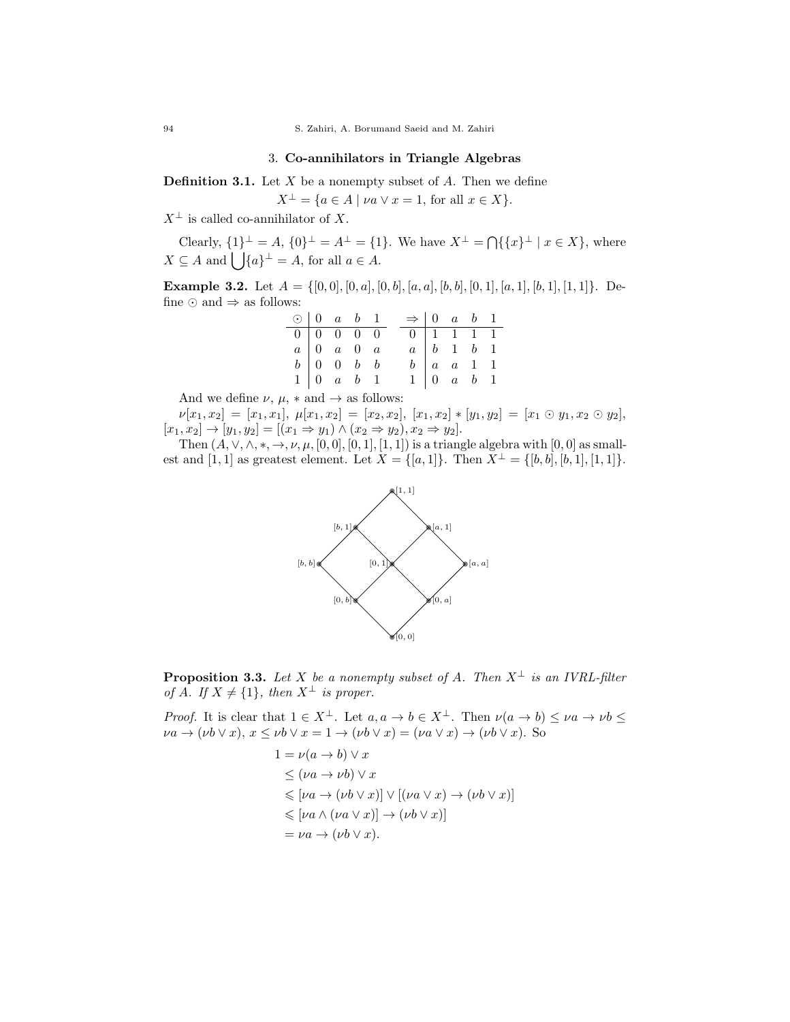94 S. Zahiri, A. Borumand Saeid and M. Zahiri

## 3. Co-annihilators in Triangle Algebras

**Definition 3.1.** Let  $X$  be a nonempty subset of  $A$ . Then we define

 $X^{\perp} = \{a \in A \mid \nu a \vee x = 1, \text{ for all } x \in X\}.$ 

 $X^{\perp}$  is called co-annihilator of X.

Clearly,  $\{1\}^{\perp} = A$ ,  $\{0\}^{\perp} = A^{\perp} = \{1\}$ . We have  $X^{\perp} = \bigcap \{\{x\}^{\perp} | x \in X\}$ , where  $X \subseteq A$  and  $\left| \right| \{a\}^{\perp} = A$ , for all  $a \in A$ .

**Example 3.2.** Let  $A = \{ [0, 0], [0, a], [0, b], [a, a], [b, b], [0, 1], [a, 1], [b, 1], [1, 1] \}.$  Define  $\odot$  and  $\Rightarrow$  as follows:

| $\odot$   0 a b 1 |                                                             |  | $\Rightarrow$ 0 a b 1           |                                    |  |
|-------------------|-------------------------------------------------------------|--|---------------------------------|------------------------------------|--|
|                   | $\boxed{0}$ $\boxed{0}$ $\boxed{0}$ $\boxed{0}$ $\boxed{0}$ |  | $0 \mid 1 \mid 1 \mid 1 \mid 1$ |                                    |  |
|                   | $a \begin{bmatrix} 0 & a & 0 & a \end{bmatrix}$             |  |                                 | $a \mid b \mid 1 \mid b \mid 1$    |  |
|                   | $b \begin{bmatrix} 0 & 0 & b & b \end{bmatrix}$             |  |                                 | $b \mid a \mid a \mid 1 \mid 1$    |  |
|                   | $1 \mid 0 \quad a \quad b \quad 1$                          |  |                                 | $1 \mid 0 \quad a \quad b \quad 1$ |  |

And we define  $\nu$ ,  $\mu$ ,  $*$  and  $\rightarrow$  as follows:

 $\nu[x_1,x_2] \,=\, [x_1,x_1],\ \mu[x_1,x_2] \,=\, [x_2,x_2],\ [x_1,x_2] * [y_1,y_2] \,=\, [x_1 \odot y_1, x_2 \odot y_2],$  $[x_1, x_2] \to [y_1, y_2] = [(x_1 \Rightarrow y_1) \land (x_2 \Rightarrow y_2), x_2 \Rightarrow y_2].$ 

Then  $(A, \vee, \wedge, *, \to, \nu, \mu, [0, 0], [0, 1], [1, 1])$  is a triangle algebra with  $[0, 0]$  as smallest and [1, 1] as greatest element. Let  $X = \{[a, 1]\}\$ . Then  $X^{\perp} = \{[b, b], [b, 1], [1, 1]\}\$ .



**Proposition 3.3.** Let X be a nonempty subset of A. Then  $X^{\perp}$  is an IVRL-filter of A. If  $X \neq \{1\}$ , then  $X^{\perp}$  is proper.

*Proof.* It is clear that  $1 \in X^{\perp}$ . Let  $a, a \to b \in X^{\perp}$ . Then  $\nu(a \to b) \leq \nu a \to \nu b \leq$  $\nu a \rightarrow (\nu b \vee x), x \leq \nu b \vee x = 1 \rightarrow (\nu b \vee x) = (\nu a \vee x) \rightarrow (\nu b \vee x).$  So

$$
1 = \nu(a \to b) \lor x
$$
  
\n
$$
\leq (\nu a \to \nu b) \lor x
$$
  
\n
$$
\leq [\nu a \to (\nu b \lor x)] \lor [(\nu a \lor x) \to (\nu b \lor x)]
$$
  
\n
$$
\leq [\nu a \land (\nu a \lor x)] \to (\nu b \lor x)]
$$
  
\n
$$
= \nu a \to (\nu b \lor x).
$$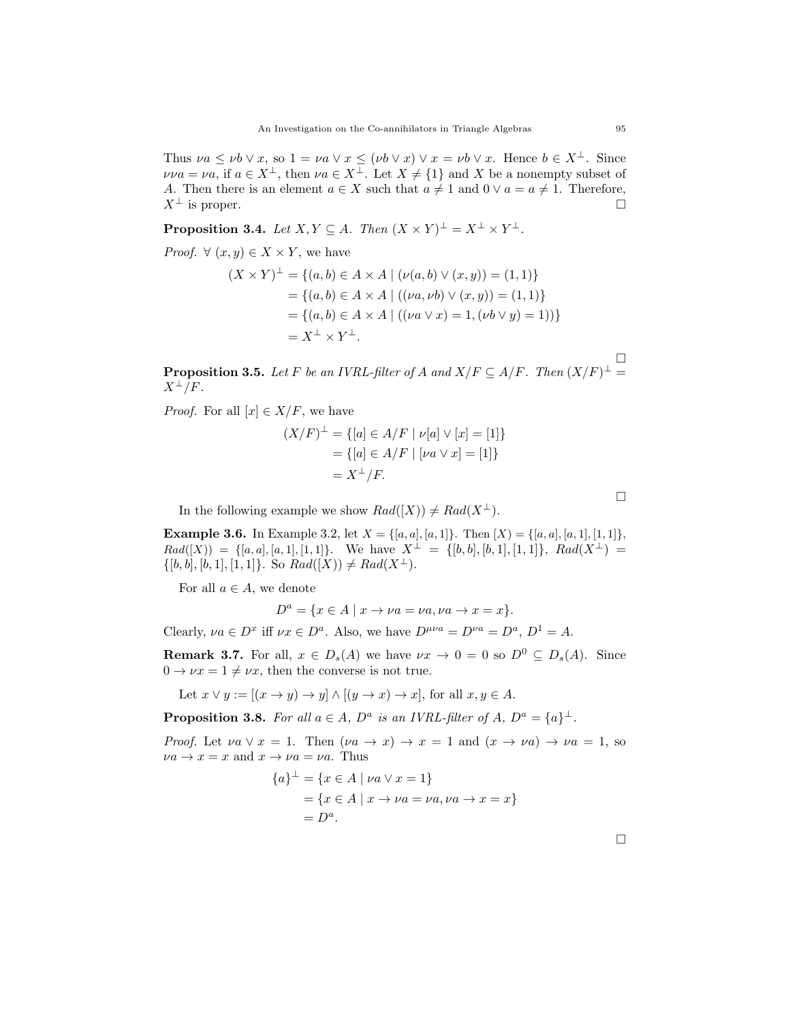Thus  $\nu a \le \nu b \vee x$ , so  $1 = \nu a \vee x \le (\nu b \vee x) \vee x = \nu b \vee x$ . Hence  $b \in X^{\perp}$ . Since  $\nu\nu a = \nu a$ , if  $a \in X^{\perp}$ , then  $\nu a \in X^{\perp}$ . Let  $X \neq \{1\}$  and X be a nonempty subset of A. Then there is an element  $a \in X$  such that  $a \neq 1$  and  $0 \vee a = a \neq 1$ . Therefore,  $X^{\perp}$  is proper.

**Proposition 3.4.** Let  $X, Y \subseteq A$ . Then  $(X \times Y)^{\perp} = X^{\perp} \times Y^{\perp}$ .

*Proof.*  $\forall (x, y) \in X \times Y$ , we have

$$
(X \times Y)^{\perp} = \{(a, b) \in A \times A \mid (\nu(a, b) \vee (x, y)) = (1, 1)\}
$$
  
= \{(a, b) \in A \times A \mid ((\nu a, \nu b) \vee (x, y)) = (1, 1)\}  
= \{(a, b) \in A \times A \mid ((\nu a \vee x) = 1, (\nu b \vee y) = 1))\}  
= X^{\perp} \times Y^{\perp}.

**Proposition 3.5.** Let F be an IVRL-filter of A and  $X/F \subseteq A/F$ . Then  $(X/F)^{\perp} =$  $X^{\perp}/F$ .

*Proof.* For all  $[x] \in X/F$ , we have

$$
(X/F)^{\perp} = \{ [a] \in A/F \mid \nu[a] \vee [x] = [1] \}
$$

$$
= \{ [a] \in A/F \mid [\nu a \vee x] = [1] \}
$$

$$
= X^{\perp}/F.
$$

In the following example we show  $Rad([X]) \neq Rad(X^{\perp}).$ 

**Example 3.6.** In Example 3.2, let  $X = \{(a, a), [a, 1]\}$ . Then  $[X] = \{(a, a), [a, 1], [1, 1]\}$ ,  $Rad([X)) = \{[a, a], [a, 1], [1, 1]\}.$  We have  $X^{\perp} = \{[b, b], [b, 1], [1, 1]\}, Rad(X^{\perp}) =$  $\{[b, b], [b, 1], [1, 1]\}$ . So  $Rad(X)) \neq Rad(X^{\perp})$ .

For all  $a \in A$ , we denote

 $D^a = \{x \in A \mid x \to \nu a = \nu a, \nu a \to x = x\}.$ 

Clearly,  $\nu a \in D^x$  iff  $\nu x \in D^a$ . Also, we have  $D^{\mu\nu a} = D^{\nu a} = D^a$ ,  $D^1 = A$ .

**Remark 3.7.** For all,  $x \in D_s(A)$  we have  $\nu x \to 0 = 0$  so  $D^0 \subseteq D_s(A)$ . Since  $0 \rightarrow \nu x = 1 \neq \nu x$ , then the converse is not true.

Let  $x \vee y := [(x \rightarrow y) \rightarrow y] \wedge [(y \rightarrow x) \rightarrow x]$ , for all  $x, y \in A$ .

**Proposition 3.8.** For all  $a \in A$ ,  $D^a$  is an IVRL-filter of  $A$ ,  $D^a = \{a\}^{\perp}$ .

*Proof.* Let  $\nu a \vee x = 1$ . Then  $(\nu a \rightarrow x) \rightarrow x = 1$  and  $(x \rightarrow \nu a) \rightarrow \nu a = 1$ , so  $\nu a \rightarrow x = x$  and  $x \rightarrow \nu a = \nu a$ . Thus

$$
\{a\}^{\perp} = \{x \in A \mid \nu a \lor x = 1\}
$$
  
=  $\{x \in A \mid x \to \nu a = \nu a, \nu a \to x = x\}$   
=  $D^a$ .

 $\Box$ 

 $\Box$ 

 $\Box$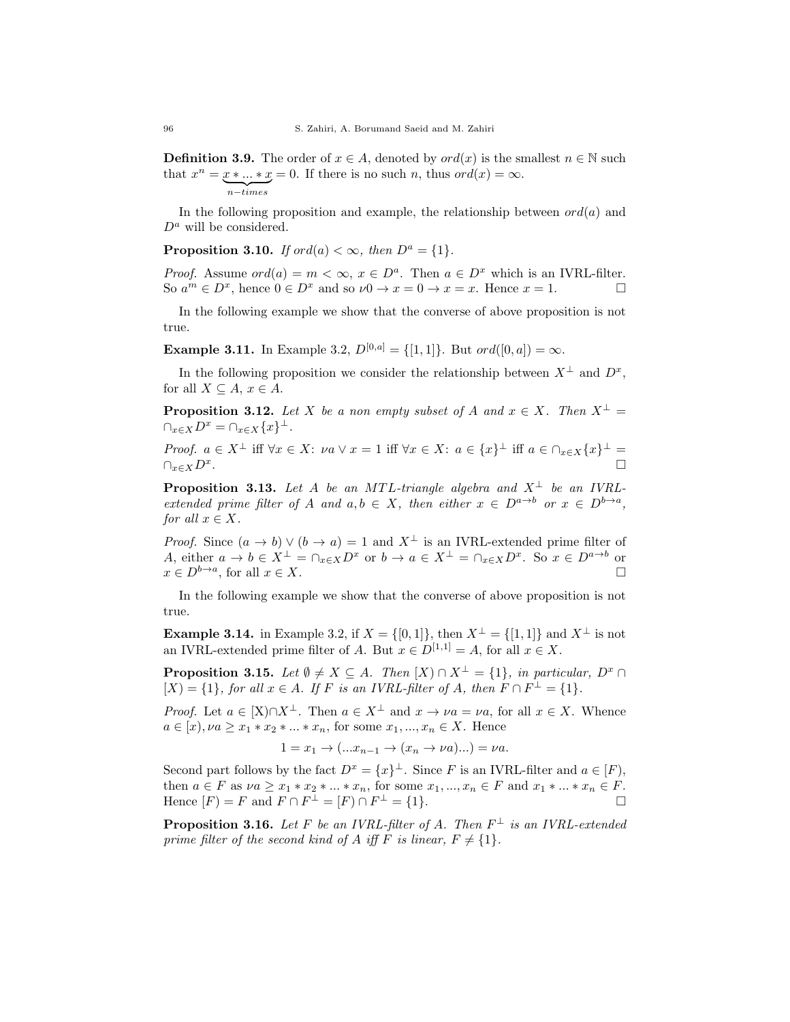**Definition 3.9.** The order of  $x \in A$ , denoted by  $ord(x)$  is the smallest  $n \in \mathbb{N}$  such that  $x^n = x * ... * x = 0$ . If there is no such n, thus  $ord(x) = \infty$ .  $n - times$ 

In the following proposition and example, the relationship between  $ord(a)$  and  $D^a$  will be considered.

**Proposition 3.10.** If ord(a) <  $\infty$ , then  $D^a = \{1\}$ .

*Proof.* Assume  $ord(a) = m < \infty$ ,  $x \in D^a$ . Then  $a \in D^x$  which is an IVRL-filter. So  $a^m \in D^x$ , hence  $0 \in D^x$  and so  $\nu 0 \to x = 0 \to x = x$ . Hence  $x = 1$ .

In the following example we show that the converse of above proposition is not true.

**Example 3.11.** In Example 3.2,  $D^{[0,a]} = \{[1,1]\}$ . But ord $([0,a]) = \infty$ .

In the following proposition we consider the relationship between  $X^{\perp}$  and  $D^{x}$ , for all  $X \subseteq A$ ,  $x \in A$ .

**Proposition 3.12.** Let X be a non empty subset of A and  $x \in X$ . Then  $X^{\perp} =$  $\bigcap_{x\in X}D^x=\bigcap_{x\in X}\{x\}^{\perp}.$ 

*Proof.*  $a \in X^{\perp}$  iff  $\forall x \in X$ :  $\nu a \lor x = 1$  iff  $\forall x \in X$ :  $a \in \{x\}^{\perp}$  iff  $a \in \cap_{x \in X} \{x\}^{\perp}$  $\bigcap_{x\in X}D^x.$ .

**Proposition 3.13.** Let A be an MTL-triangle algebra and  $X^{\perp}$  be an IVRLextended prime filter of A and  $a, b \in X$ , then either  $x \in D^{a \to b}$  or  $x \in D^{b \to a}$ , for all  $x \in X$ .

*Proof.* Since  $(a \to b) \lor (b \to a) = 1$  and  $X^{\perp}$  is an IVRL-extended prime filter of A, either  $a \to b \in X^{\perp} = \bigcap_{x \in X} D^x$  or  $b \to a \in X^{\perp} = \bigcap_{x \in X} D^x$ . So  $x \in D^{a \to b}$  or  $x \in D^{b \to a}$ , for all  $x \in X$ .

In the following example we show that the converse of above proposition is not true.

**Example 3.14.** in Example 3.2, if  $X = \{[0,1]\}$ , then  $X^{\perp} = \{[1,1]\}$  and  $X^{\perp}$  is not an IVRL-extended prime filter of A. But  $x \in D^{[1,1]} = A$ , for all  $x \in X$ .

**Proposition 3.15.** Let  $\emptyset \neq X \subseteq A$ . Then  $[X] \cap X^{\perp} = \{1\}$ , in particular,  $D^x \cap A$  $[X] = \{1\}$ , for all  $x \in A$ . If F is an IVRL-filter of A, then  $F \cap F^{\perp} = \{1\}$ .

*Proof.* Let  $a \in [X] \cap X^{\perp}$ . Then  $a \in X^{\perp}$  and  $x \to \nu a = \nu a$ , for all  $x \in X$ . Whence  $a \in [x], \nu a \geq x_1 * x_2 * ... * x_n$ , for some  $x_1, ..., x_n \in X$ . Hence

 $1 = x_1 \rightarrow (...x_{n-1} \rightarrow (x_n \rightarrow \nu a)...) = \nu a.$ 

Second part follows by the fact  $D^x = \{x\}^{\perp}$ . Since F is an IVRL-filter and  $a \in [F)$ , then  $a \in F$  as  $\nu a \geq x_1 * x_2 * \ldots * x_n$ , for some  $x_1, \ldots, x_n \in F$  and  $x_1 * \ldots * x_n \in F$ . Hence  $[F] = F$  and  $F \cap F^{\perp} = [F] \cap F^{\perp} = \{1\}.$ 

**Proposition 3.16.** Let F be an IVRL-filter of A. Then  $F^{\perp}$  is an IVRL-extended prime filter of the second kind of A iff F is linear,  $F \neq \{1\}$ .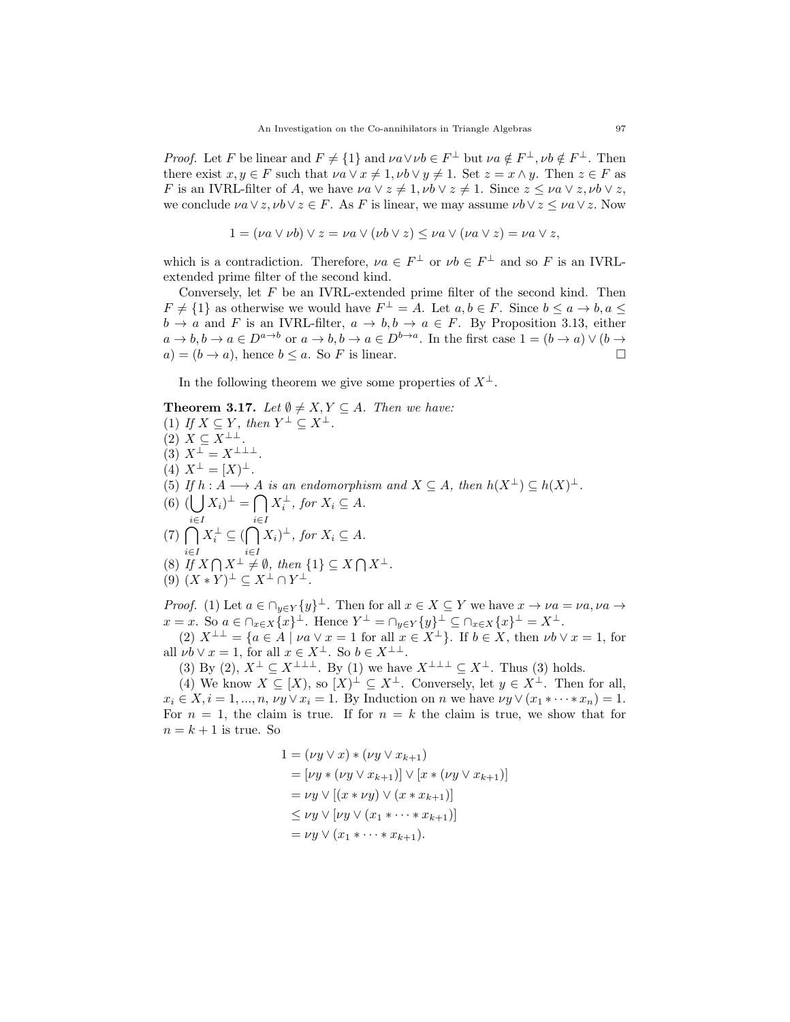*Proof.* Let F be linear and  $F \neq \{1\}$  and  $\nu a \lor \nu b \in F^{\perp}$  but  $\nu a \notin F^{\perp}$ ,  $\nu b \notin F^{\perp}$ . Then there exist  $x, y \in F$  such that  $\nu a \lor x \neq 1$ ,  $\nu b \lor y \neq 1$ . Set  $z = x \land y$ . Then  $z \in F$  as F is an IVRL-filter of A, we have  $\nu a \vee z \neq 1$ ,  $\nu b \vee z \neq 1$ . Since  $z \leq \nu a \vee z$ ,  $\nu b \vee z$ , we conclude  $\nu a \vee z, \nu b \vee z \in F$ . As F is linear, we may assume  $\nu b \vee z \leq \nu a \vee z$ . Now

$$
1 = (\nu a \lor \nu b) \lor z = \nu a \lor (\nu b \lor z) \leq \nu a \lor (\nu a \lor z) = \nu a \lor z,
$$

which is a contradiction. Therefore,  $\nu a \in F^{\perp}$  or  $\nu b \in F^{\perp}$  and so F is an IVRLextended prime filter of the second kind.

Conversely, let  $F$  be an IVRL-extended prime filter of the second kind. Then  $F \neq \{1\}$  as otherwise we would have  $F^{\perp} = A$ . Let  $a, b \in F$ . Since  $b \leq a \rightarrow b, a \leq$  $b \to a$  and F is an IVRL-filter,  $a \to b, b \to a \in F$ . By Proposition 3.13, either  $a \to b, b \to a \in D^{a \to b}$  or  $a \to b, b \to a \in D^{b \to a}$ . In the first case  $1 = (b \to a) \vee (b \to a)$  $a) = (b \rightarrow a)$ , hence  $b \leq a$ . So F is linear.

In the following theorem we give some properties of  $X^{\perp}$ .

**Theorem 3.17.** Let 
$$
\emptyset \neq X, Y \subseteq A
$$
. Then we have:  
\n(1) If  $X \subseteq Y$ , then  $Y^{\perp} \subseteq X^{\perp}$ .  
\n(2)  $X \subseteq X^{\perp \perp}$ .  
\n(3)  $X^{\perp} = X^{\perp \perp \perp}$ .  
\n(4)  $X^{\perp} = [X)^{\perp}$ .  
\n(5) If  $h : A \longrightarrow A$  is an endomorphism and  $X \subseteq A$ , then  $h(X^{\perp}) \subseteq h(X)^{\perp}$ .  
\n(6)  $(\bigcup_{i \in I} X_i)^{\perp} = \bigcap_{i \in I} X_i^{\perp}$ , for  $X_i \subseteq A$ .  
\n(7)  $\bigcap_{i \in I} X_i^{\perp} \subseteq (\bigcap_{i \in I} X_i)^{\perp}$ , for  $X_i \subseteq A$ .  
\n(8) If  $X \cap X^{\perp} \neq \emptyset$ , then  $\{1\} \subseteq X \cap X^{\perp}$ .  
\n(9)  $(X * Y)^{\perp} \subseteq X^{\perp} \cap Y^{\perp}$ .  
\n*Proof.* (1) Let  $a \in \bigcap_{y \in Y} \{y\}^{\perp}$ . Then for all  $x \in X \subseteq Y$  we have  $x \rightarrow \nu a = \nu a, \nu a \rightarrow$ 

 $x = x$ . So  $a \in \bigcap_{x \in X} \{x\}^{\perp}$ . Hence  $Y^{\perp} = \bigcap_{y \in Y} \{y\}^{\perp} \subseteq \bigcap_{x \in X} \{x\}^{\perp} = X^{\perp}$ .

(2)  $X^{\perp \perp} = \{a \in A \mid \nu a \vee x = 1 \text{ for all } x \in X^{\perp}\}\.$  If  $b \in X$ , then  $\nu b \vee x = 1$ , for all  $\nu b \vee x = 1$ , for all  $x \in X^{\perp}$ . So  $b \in X^{\perp \perp}$ .

(3) By (2),  $X^{\perp} \subseteq X^{\perp\perp\perp}$ . By (1) we have  $X^{\perp\perp\perp} \subseteq X^{\perp}$ . Thus (3) holds.

(4) We know  $X \subseteq [X]$ , so  $[X]^{\perp} \subseteq X^{\perp}$ . Conversely, let  $y \in X^{\perp}$ . Then for all,  $x_i \in X, i = 1, ..., n, \nu y \vee x_i = 1$ . By Induction on n we have  $\nu y \vee (x_1 * \cdots * x_n) = 1$ . For  $n = 1$ , the claim is true. If for  $n = k$  the claim is true, we show that for  $n = k + 1$  is true. So

1 = (νy ∨ x) ∗ (νy ∨ xk+1) = [νy ∗ (νy ∨ xk+1)] ∨ [x ∗ (νy ∨ xk+1)] = νy ∨ [(x ∗ νy) ∨ (x ∗ xk+1)] ≤ νy ∨ [νy ∨ (x<sup>1</sup> ∗ · · · ∗ xk+1)] = νy ∨ (x<sup>1</sup> ∗ · · · ∗ xk+1).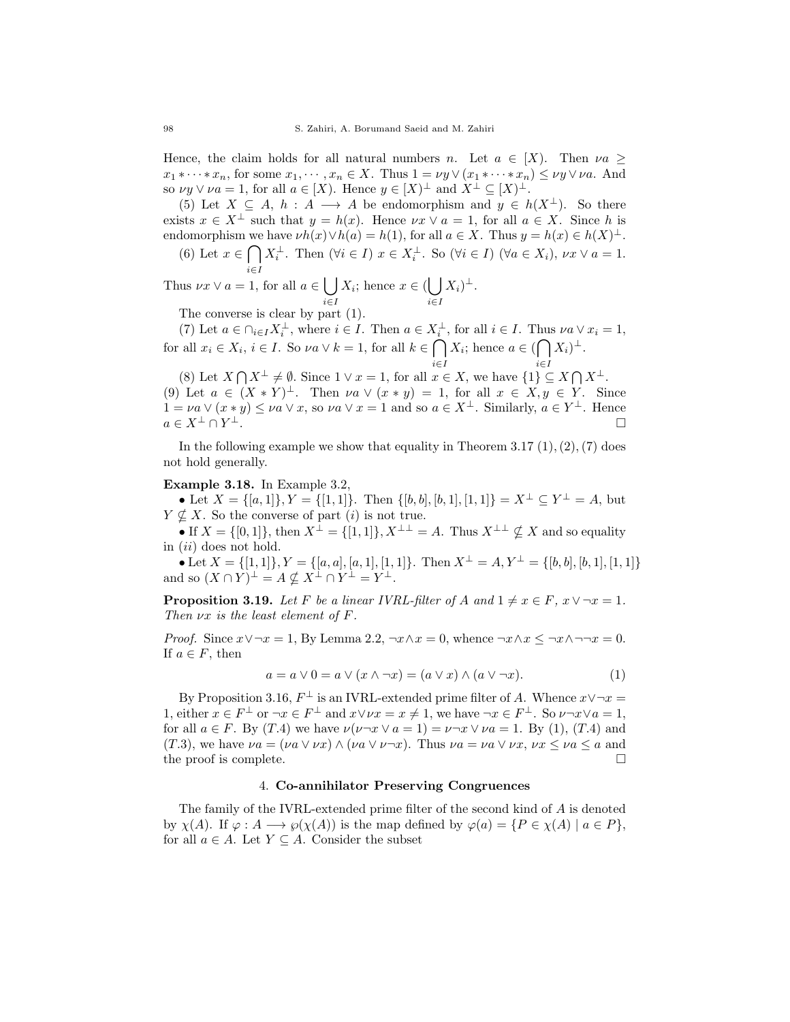Hence, the claim holds for all natural numbers n. Let  $a \in [X]$ . Then  $\nu a >$  $x_1 * \cdots * x_n$ , for some  $x_1, \cdots, x_n \in X$ . Thus  $1 = \nu y \vee (x_1 * \cdots * x_n) \leq \nu y \vee \nu a$ . And so  $\nu y \vee \nu a = 1$ , for all  $a \in [X]$ . Hence  $y \in [X]^{\perp}$  and  $X^{\perp} \subseteq [X]^{\perp}$ .

(5) Let  $X \subseteq A$ ,  $h : A \longrightarrow A$  be endomorphism and  $y \in h(X^{\perp})$ . So there exists  $x \in X^{\perp}$  such that  $y = h(x)$ . Hence  $\nu x \vee a = 1$ , for all  $a \in X$ . Since h is endomorphism we have  $\nu h(x) \vee h(a) = h(1)$ , for all  $a \in X$ . Thus  $y = h(x) \in h(X)^{\perp}$ .

(6) Let 
$$
x \in \bigcap_{i \in I} X_i^{\perp}
$$
. Then  $(\forall i \in I)$   $x \in X_i^{\perp}$ . So  $(\forall i \in I)$   $(\forall a \in X_i)$ ,  $\nu x \vee a = 1$ .

Thus  $\nu x \vee a = 1$ , for all  $a \in |$ i∈I  $X_i$ ; hence  $x \in (\bigcup_i$ i∈I  $X_i)^\perp$ .

The converse is clear by part (1).

(7) Let  $a \in \bigcap_{i \in I} X_i^{\perp}$ , where  $i \in I$ . Then  $a \in X_i^{\perp}$ , for all  $i \in I$ . Thus  $\nu a \vee x_i = 1$ , for all  $x_i \in X_i$ ,  $i \in I$ . So  $\nu a \vee k = 1$ , for all  $k \in \bigcap$ i∈I  $X_i$ ; hence  $a \in (\bigcap$ i∈I  $(X_i)^{\perp}$ .

(8) Let  $X \cap X^{\perp} \neq \emptyset$ . Since  $1 \vee x = 1$ , for all  $x \in X$ , we have  $\{1\} \subseteq X \cap X^{\perp}$ . (9) Let  $a \in (X * Y)^{\perp}$ . Then  $\nu a \vee (x * y) = 1$ , for all  $x \in X, y \in Y$ . Since  $1 = va \vee (x * y) \leq va \vee x$ , so  $va \vee x = 1$  and so  $a \in X^{\perp}$ . Similarly,  $a \in Y^{\perp}$ . Hence  $a \in X^{\perp} \cap Y^{\perp}.$ <sup>⊥</sup>.

In the following example we show that equality in Theorem 3.17  $(1), (2), (7)$  does not hold generally.

## Example 3.18. In Example 3.2,

• Let  $X = \{[a,1]\}, Y = \{[1,1]\}.$  Then  $\{[b,b],[b,1],[1,1]\} = X^{\perp} \subseteq Y^{\perp} = A$ , but  $Y \nsubseteq X$ . So the converse of part (i) is not true.

• If  $X = \{[0,1]\}$ , then  $X^{\perp} = \{[1,1]\}, X^{\perp\perp} = A$ . Thus  $X^{\perp\perp} \nsubseteq X$  and so equality in  $(ii)$  does not hold.

• Let  $X = \{ [1, 1] \}, Y = \{ [a, a], [a, 1], [1, 1] \}.$  Then  $X^{\perp} = A, Y^{\perp} = \{ [b, b], [b, 1], [1, 1] \}$ and so  $(X \cap Y)^{\perp} = A \nsubseteq X^{\perp} \cap Y^{\perp} = Y^{\perp}$ .

**Proposition 3.19.** Let F be a linear IVRL-filter of A and  $1 \neq x \in F$ ,  $x \vee \neg x = 1$ . Then  $\nu x$  is the least element of F.

*Proof.* Since  $x \vee \neg x = 1$ , By Lemma 2.2,  $\neg x \wedge x = 0$ , whence  $\neg x \wedge x \leq \neg x \wedge \neg \neg x = 0$ . If  $a \in F$ , then

$$
a = a \lor 0 = a \lor (x \land \neg x) = (a \lor x) \land (a \lor \neg x). \tag{1}
$$

By Proposition 3.16,  $F^{\perp}$  is an IVRL-extended prime filter of A. Whence  $x \vee \neg x =$ 1, either  $x \in F^{\perp}$  or  $\neg x \in F^{\perp}$  and  $x \vee \nu x = x \neq 1$ , we have  $\neg x \in F^{\perp}$ . So  $\nu \neg x \vee a = 1$ , for all  $a \in F$ . By  $(T.4)$  we have  $\nu(\nu \neg x \vee a = 1) = \nu \neg x \vee \nu a = 1$ . By (1), (T.4) and (T.3), we have  $\nu a = (\nu a \lor \nu x) \land (\nu a \lor \nu \neg x)$ . Thus  $\nu a = \nu a \lor \nu x$ ,  $\nu x \leq \nu a \leq a$  and the proof is complete.

## 4. Co-annihilator Preserving Congruences

The family of the IVRL-extended prime filter of the second kind of A is denoted by  $\chi(A)$ . If  $\varphi: A \longrightarrow \varphi(\chi(A))$  is the map defined by  $\varphi(a) = \{P \in \chi(A) \mid a \in P\}$ , for all  $a \in A$ . Let  $Y \subseteq A$ . Consider the subset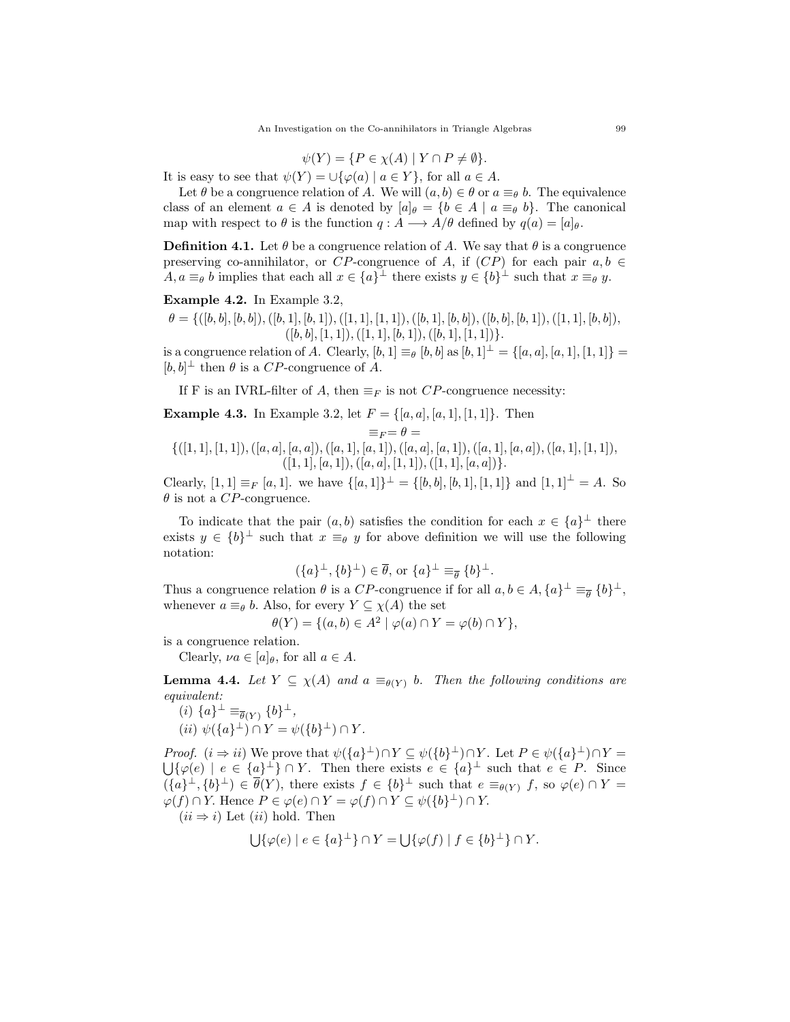$$
\psi(Y) = \{ P \in \chi(A) \mid Y \cap P \neq \emptyset \}.
$$

It is easy to see that  $\psi(Y) = \bigcup \{ \varphi(a) \mid a \in Y \}$ , for all  $a \in A$ .

Let  $\theta$  be a congruence relation of A. We will  $(a, b) \in \theta$  or  $a \equiv_{\theta} b$ . The equivalence class of an element  $a \in A$  is denoted by  $[a]_\theta = \{b \in A \mid a \equiv_\theta b\}$ . The canonical map with respect to  $\theta$  is the function  $q : A \longrightarrow A/\theta$  defined by  $q(a) = [a]_{\theta}$ .

**Definition 4.1.** Let  $\theta$  be a congruence relation of A. We say that  $\theta$  is a congruence preserving co-annihilator, or CP-congruence of A, if  $(CP)$  for each pair  $a, b \in$  $A, a \equiv_{\theta} b$  implies that each all  $x \in \{a\}^{\perp}$  there exists  $y \in \{b\}^{\perp}$  such that  $x \equiv_{\theta} y$ .

Example 4.2. In Example 3.2,

 $\theta = \{([b, b], [b, b]), ([b, 1], [b, 1]), ([1, 1], [1, 1]), ([b, 1], [b, b]), ([b, b], [b, 1]), ([1, 1], [b, b]),$  $([b, b], [1, 1]), ([1, 1], [b, 1]), ([b, 1], [1, 1])\}.$ 

is a congruence relation of A. Clearly,  $[b, 1] \equiv_{\theta} [b, b]$  as  $[b, 1]^{\perp} = \{[a, a], [a, 1], [1, 1]\} =$  $[b, b]^\perp$  then  $\theta$  is a CP-congruence of A.

If F is an IVRL-filter of A, then  $\equiv_F$  is not CP-congruence necessity:

**Example 4.3.** In Example 3.2, let  $F = \{[a, a], [a, 1], [1, 1]\}$ . Then

$$
\equiv_F = \theta =
$$

 $\{([1, 1], [1, 1]), ([a, a], [a, a]), ([a, 1], [a, 1]), ([a, a], [a, 1]), ([a, 1], [a, a]), ([a, 1], [1, 1]),$  $([1, 1], [a, 1]), ([a, a], [1, 1]), ([1, 1], [a, a])\}.$ 

Clearly,  $[1, 1] \equiv_F [a, 1]$ . we have  $\{[a, 1]\}^{\perp} = \{[b, b], [b, 1], [1, 1]\}$  and  $[1, 1]^{\perp} = A$ . So  $\theta$  is not a CP-congruence.

To indicate that the pair  $(a, b)$  satisfies the condition for each  $x \in \{a\}^{\perp}$  there exists  $y \in \{b\}^{\perp}$  such that  $x \equiv_{\theta} y$  for above definition we will use the following notation:

$$
(\{a\}^{\perp}, \{b\}^{\perp}) \in \overline{\theta}, \text{ or } \{a\}^{\perp} \equiv_{\overline{\theta}} \{b\}^{\perp}.
$$

Thus a congruence relation  $\theta$  is a CP-congruence if for all  $a, b \in A$ ,  $\{a\}^{\perp} \equiv_{\theta} \{b\}^{\perp}$ , whenever  $a \equiv_{\theta} b$ . Also, for every  $Y \subseteq \chi(A)$  the set

$$
\theta(Y) = \{(a, b) \in A^2 \mid \varphi(a) \cap Y = \varphi(b) \cap Y\},\
$$

is a congruence relation.

Clearly,  $\nu a \in [a]_{\theta}$ , for all  $a \in A$ .

**Lemma 4.4.** Let  $Y \subseteq \chi(A)$  and  $a \equiv_{\theta(Y)} b$ . Then the following conditions are equivalent:

 $(i) \{a\}^{\perp} \equiv_{\overline{\theta}(Y)} \{b\}^{\perp},$ (*ii*)  $\psi({a}^{\perp}) \cap Y = \psi({b}^{\perp}) \cap Y$ .

*Proof.*  $(i \Rightarrow ii)$  We prove that  $\psi({a}^{\perp}) \cap Y \subseteq \psi({b}^{\perp}) \cap Y$ . Let  $P \in \psi({a}^{\perp}) \cap Y =$  $\bigcup \{\varphi(e) \mid e \in \{a\}^{\perp} \} \cap Y$ . Then there exists  $e \in \{a\}^{\perp}$  such that  $e \in P$ . Since  $({a}^{\perp}, {b}^{\perp}) \in \overline{\theta}(Y)$ , there exists  $f \in {b}^{\perp}$  such that  $e \equiv_{\theta(Y)} f$ , so  $\varphi(e) \cap Y =$  $\varphi(f) \cap Y$ . Hence  $P \in \varphi(e) \cap Y = \varphi(f) \cap Y \subseteq \psi(\{b\}^{\perp}) \cap Y$ .

 $(ii \Rightarrow i)$  Let  $(ii)$  hold. Then

$$
\bigcup \{ \varphi(e) \mid e \in \{a\}^{\perp} \} \cap Y = \bigcup \{ \varphi(f) \mid f \in \{b\}^{\perp} \} \cap Y.
$$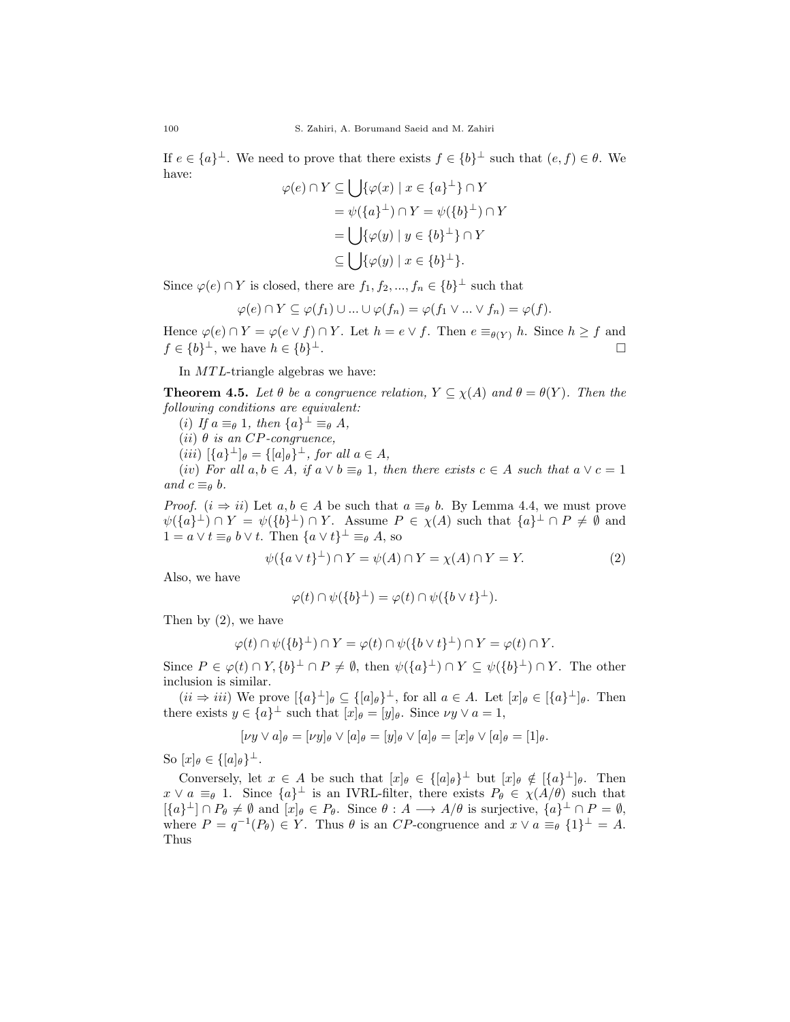If  $e \in \{a\}^{\perp}$ . We need to prove that there exists  $f \in \{b\}^{\perp}$  such that  $(e, f) \in \theta$ . We have:

$$
\varphi(e) \cap Y \subseteq \bigcup \{ \varphi(x) \mid x \in \{a\}^{\perp} \} \cap Y
$$
  
=  $\psi(\{a\}^{\perp}) \cap Y = \psi(\{b\}^{\perp}) \cap Y$   
=  $\bigcup \{ \varphi(y) \mid y \in \{b\}^{\perp} \} \cap Y$   
 $\subseteq \bigcup \{ \varphi(y) \mid x \in \{b\}^{\perp} \}.$ 

Since  $\varphi(e) \cap Y$  is closed, there are  $f_1, f_2, ..., f_n \in \{b\}^{\perp}$  such that

$$
\varphi(e) \cap Y \subseteq \varphi(f_1) \cup \ldots \cup \varphi(f_n) = \varphi(f_1 \vee \ldots \vee f_n) = \varphi(f).
$$

Hence  $\varphi(e) \cap Y = \varphi(e \vee f) \cap Y$ . Let  $h = e \vee f$ . Then  $e \equiv_{\theta(Y)} h$ . Since  $h \ge f$  and  $f \in \{b\}^{\perp}$ , we have  $h \in \{b\}$ <sup>⊥</sup>.

In  $MTL$ -triangle algebras we have:

**Theorem 4.5.** Let  $\theta$  be a congruence relation,  $Y \subseteq \chi(A)$  and  $\theta = \theta(Y)$ . Then the following conditions are equivalent:

(i) If  $a \equiv_{\theta} 1$ , then  $\{a\}^{\perp} \equiv_{\theta} A$ ,

(ii)  $\theta$  is an CP-congruence,

 $(iii)$   $[\lbrace a \rbrace^{\perp}]_{\theta} = \lbrace [a]_{\theta} \rbrace^{\perp}$ , for all  $a \in A$ ,

(iv) For all  $a, b \in A$ , if  $a \vee b \equiv_{\theta} 1$ , then there exists  $c \in A$  such that  $a \vee c = 1$ and  $c \equiv_\theta b$ .

*Proof.*  $(i \Rightarrow ii)$  Let  $a, b \in A$  be such that  $a \equiv_{\theta} b$ . By Lemma 4.4, we must prove  $\psi({a}^{\perp}) \cap Y = \psi({b}^{\perp}) \cap Y$ . Assume  $P \in \chi(A)$  such that  ${a}^{\perp} \cap P \neq \emptyset$  and  $1 = a \vee t \equiv_{\theta} b \vee t$ . Then  $\{a \vee t\}^{\perp} \equiv_{\theta} A$ , so

$$
\psi({a \vee t}^{\perp}) \cap Y = \psi(A) \cap Y = \chi(A) \cap Y = Y.
$$
\n(2)

Also, we have

$$
\varphi(t) \cap \psi(\{b\}^{\perp}) = \varphi(t) \cap \psi(\{b \vee t\}^{\perp}).
$$

Then by (2), we have

$$
\varphi(t) \cap \psi(\{b\}^{\perp}) \cap Y = \varphi(t) \cap \psi(\{b \lor t\}^{\perp}) \cap Y = \varphi(t) \cap Y.
$$

Since  $P \in \varphi(t) \cap Y, \{b\}^{\perp} \cap P \neq \emptyset$ , then  $\psi(\{a\}^{\perp}) \cap Y \subseteq \psi(\{b\}^{\perp}) \cap Y$ . The other inclusion is similar.

 $(ii \Rightarrow iii)$  We prove  $\{a\}^{\perp}$   $\phi \subseteq \{[a]_{\theta}\}^{\perp}$ , for all  $a \in A$ . Let  $[x]_{\theta} \in \{[a\}^{\perp}$   $\theta$ . Then there exists  $y \in \{a\}^{\perp}$  such that  $[x]_{\theta} = [y]_{\theta}$ . Since  $\nu y \vee a = 1$ ,

$$
[\nu y \vee a]_{\theta} = [\nu y]_{\theta} \vee [a]_{\theta} = [y]_{\theta} \vee [a]_{\theta} = [x]_{\theta} \vee [a]_{\theta} = [1]_{\theta}.
$$

So  $[x]_{\theta} \in \{[a]_{\theta}\}^{\perp}$ .

Conversely, let  $x \in A$  be such that  $[x]_\theta \in \{[a]_\theta\}^\perp$  but  $[x]_\theta \notin [\{a\}^\perp]_\theta$ . Then  $x \vee a \equiv_{\theta} 1$ . Since  $\{a\}^{\perp}$  is an IVRL-filter, there exists  $P_{\theta} \in \chi(A/\theta)$  such that  $[\{a\}^{\perp}] \cap P_{\theta} \neq \emptyset$  and  $[x]_{\theta} \in P_{\theta}$ . Since  $\theta : A \longrightarrow A/\theta$  is surjective,  $\{a\}^{\perp} \cap P = \emptyset$ , where  $P = q^{-1}(P_{\theta}) \in Y$ . Thus  $\theta$  is an CP-congruence and  $x \vee a \equiv_{\theta} \{1\}^{\perp} = A$ . Thus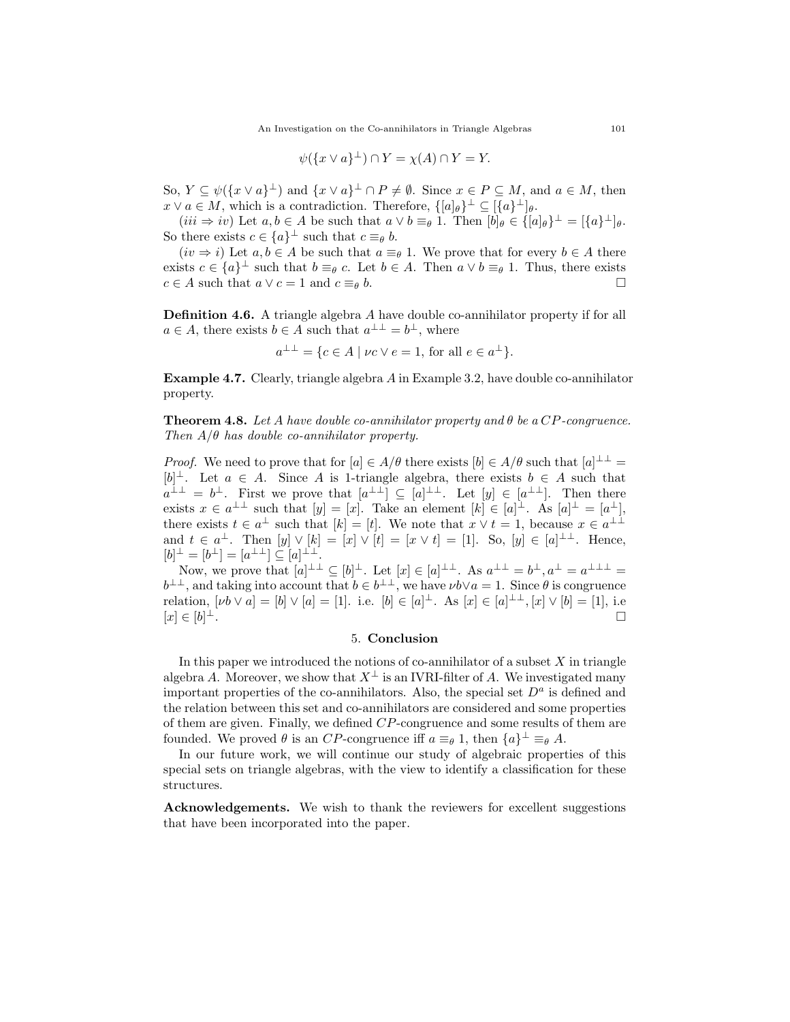$$
\psi(\lbrace x \lor a \rbrace^{\perp}) \cap Y = \chi(A) \cap Y = Y.
$$

So,  $Y \subseteq \psi({x \vee a}^{\perp})$  and  ${x \vee a}^{\perp} \cap P \neq \emptyset$ . Since  $x \in P \subseteq M$ , and  $a \in M$ , then  $x \vee a \in M$ , which is a contradiction. Therefore,  $\{[a]_\theta\}^\perp \subseteq [\{a\}^\perp]_\theta$ .

 $(iii \Rightarrow iv)$  Let  $a, b \in A$  be such that  $a \vee b \equiv_{\theta} 1$ . Then  $[b]_{\theta} \in \{[a]_{\theta}\}^{\perp} = [\{a\}^{\perp}]_{\theta}$ . So there exists  $c \in \{a\}^{\perp}$  such that  $c \equiv_{\theta} b$ .

 $(iv \Rightarrow i)$  Let  $a, b \in A$  be such that  $a \equiv_{\theta} 1$ . We prove that for every  $b \in A$  there exists  $c \in \{a\}^{\perp}$  such that  $b \equiv_{\theta} c$ . Let  $b \in A$ . Then  $a \vee b \equiv_{\theta} 1$ . Thus, there exists  $c \in A$  such that  $a \vee c = 1$  and  $c \equiv_{\theta} b$ .

**Definition 4.6.** A triangle algebra A have double co-annihilator property if for all  $a \in A$ , there exists  $b \in A$  such that  $a^{\perp \perp} = b^{\perp}$ , where

$$
a^{\perp \perp} = \{c \in A \mid \nu c \lor e = 1, \text{ for all } e \in a^{\perp}\}.
$$

Example 4.7. Clearly, triangle algebra A in Example 3.2, have double co-annihilator property.

**Theorem 4.8.** Let A have double co-annihilator property and  $\theta$  be a CP-congruence. Then  $A/\theta$  has double co-annihilator property.

*Proof.* We need to prove that for  $[a] \in A/\theta$  there exists  $[b] \in A/\theta$  such that  $[a]^{\perp \perp} =$  $[b]^\perp$ . Let  $a \in A$ . Since A is 1-triangle algebra, there exists  $b \in A$  such that  $a^{\perp \perp} = b^{\perp}$ . First we prove that  $[a^{\perp \perp}] \subseteq [a]^{\perp \perp}$ . Let  $[y] \in [a^{\perp \perp}]$ . Then there exists  $x \in a^{\perp \perp}$  such that  $[y] = [x]$ . Take an element  $[k] \in [a]^{\perp}$ . As  $[a]^{\perp} = [a^{\perp}]$ , there exists  $t \in a^{\perp}$  such that  $[k] = [t]$ . We note that  $x \vee t = 1$ , because  $x \in a^{\perp \perp}$ and  $t \in a^{\perp}$ . Then  $[y] \vee [k] = [x] \vee [t] = [x \vee t] = [1]$ . So,  $[y] \in [a]^{\perp \perp}$ . Hence,  $[b]^\perp = [b^\perp] = [a^{\perp \perp}] \subseteq [a]^{\perp \perp}.$ 

Now, we prove that  $[a]^{\perp \perp} \subseteq [b]^{\perp}$ . Let  $[x] \in [a]^{\perp \perp}$ . As  $a^{\perp \perp} = b^{\perp}, a^{\perp} = a^{\perp \perp \perp} = b^{\perp}$ .  $b^{\perp\perp}$ , and taking into account that  $b \in b^{\perp\perp}$ , we have  $\nu b \vee a = 1$ . Since  $\theta$  is congruence relation,  $[\nu b \vee a] = [b] \vee [a] = [1]$ . i.e.  $[b] \in [a]^\perp$ . As  $[x] \in [a]^\perp$ ,  $[x] \vee [b] = [1]$ , i.e  $[x] \in [b]^\perp.$ <sup>⊥</sup>.

## 5. Conclusion

In this paper we introduced the notions of co-annihilator of a subset  $X$  in triangle algebra A. Moreover, we show that  $X^{\perp}$  is an IVRI-filter of A. We investigated many important properties of the co-annihilators. Also, the special set  $D<sup>a</sup>$  is defined and the relation between this set and co-annihilators are considered and some properties of them are given. Finally, we defined CP-congruence and some results of them are founded. We proved  $\theta$  is an CP-congruence iff  $a \equiv_{\theta} 1$ , then  $\{a\}^{\perp} \equiv_{\theta} A$ .

In our future work, we will continue our study of algebraic properties of this special sets on triangle algebras, with the view to identify a classification for these structures.

Acknowledgements. We wish to thank the reviewers for excellent suggestions that have been incorporated into the paper.